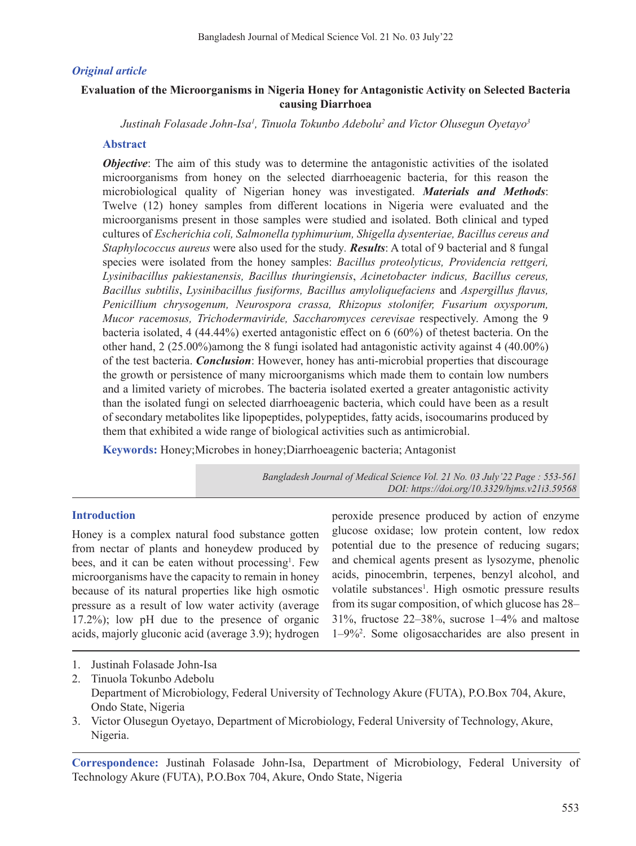# *Original article*

# **Evaluation of the Microorganisms in Nigeria Honey for Antagonistic Activity on Selected Bacteria causing Diarrhoea**

*Justinah Folasade John-Isa1 , Tinuola Tokunbo Adebolu2 and Victor Olusegun Oyetayo3*

# **Abstract**

*Objective*: The aim of this study was to determine the antagonistic activities of the isolated microorganisms from honey on the selected diarrhoeagenic bacteria, for this reason the microbiological quality of Nigerian honey was investigated. *Materials and Methods*: Twelve (12) honey samples from different locations in Nigeria were evaluated and the microorganisms present in those samples were studied and isolated. Both clinical and typed cultures of *Escherichia coli, Salmonella typhimurium, Shigella dysenteriae, Bacillus cereus and Staphylococcus aureus* were also used for the study*. Results*: A total of 9 bacterial and 8 fungal species were isolated from the honey samples: *Bacillus proteolyticus, Providencia rettgeri, Lysinibacillus pakiestanensis, Bacillus thuringiensis*, *Acinetobacter indicus, Bacillus cereus, Bacillus subtilis*, *Lysinibacillus fusiforms, Bacillus amyloliquefaciens* and *Aspergillus flavus, Penicillium chrysogenum, Neurospora crassa, Rhizopus stolonifer, Fusarium oxysporum, Mucor racemosus, Trichodermaviride, Saccharomyces cerevisae* respectively. Among the 9 bacteria isolated, 4 (44.44%) exerted antagonistic effect on 6 (60%) of thetest bacteria. On the other hand, 2 (25.00%)among the 8 fungi isolated had antagonistic activity against 4 (40.00%) of the test bacteria. *Conclusion*: However, honey has anti-microbial properties that discourage the growth or persistence of many microorganisms which made them to contain low numbers and a limited variety of microbes. The bacteria isolated exerted a greater antagonistic activity than the isolated fungi on selected diarrhoeagenic bacteria, which could have been as a result of secondary metabolites like lipopeptides, polypeptides, fatty acids, isocoumarins produced by them that exhibited a wide range of biological activities such as antimicrobial.

**Keywords:** Honey;Microbes in honey;Diarrhoeagenic bacteria; Antagonist

*Bangladesh Journal of Medical Science Vol. 21 No. 03 July'22 Page : 553-561 DOI: https://doi.org/10.3329/bjms.v21i3.59568*

# **Introduction**

Honey is a complex natural food substance gotten from nectar of plants and honeydew produced by bees, and it can be eaten without processing<sup>1</sup>. Few microorganisms have the capacity to remain in honey because of its natural properties like high osmotic pressure as a result of low water activity (average 17.2%); low pH due to the presence of organic acids, majorly gluconic acid (average 3.9); hydrogen

peroxide presence produced by action of enzyme glucose oxidase; low protein content, low redox potential due to the presence of reducing sugars; and chemical agents present as lysozyme, phenolic acids, pinocembrin, terpenes, benzyl alcohol, and volatile substances<sup>1</sup>. High osmotic pressure results from its sugar composition, of which glucose has 28– 31%, fructose 22–38%, sucrose 1–4% and maltose 1–9%<sup>2</sup> . Some oligosaccharides are also present in

- 1. Justinah Folasade John-Isa
- 2. Tinuola Tokunbo Adebolu Department of Microbiology, Federal University of Technology Akure (FUTA), P.O.Box 704, Akure, Ondo State, Nigeria
- 3. Victor Olusegun Oyetayo, Department of Microbiology, Federal University of Technology, Akure, Nigeria.

**Correspondence:** Justinah Folasade John-Isa, Department of Microbiology, Federal University of Technology Akure (FUTA), P.O.Box 704, Akure, Ondo State, Nigeria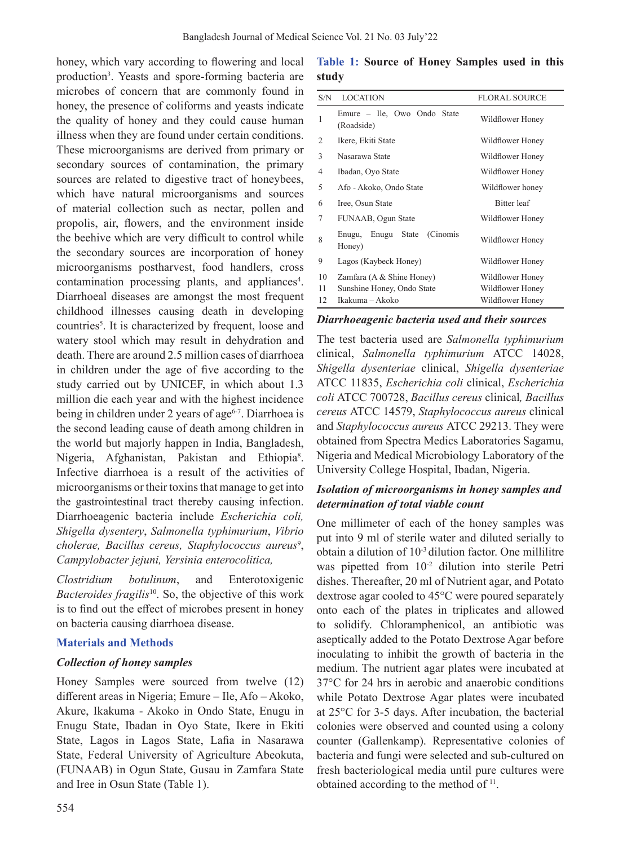honey, which vary according to flowering and local production<sup>3</sup>. Yeasts and spore-forming bacteria are microbes of concern that are commonly found in honey, the presence of coliforms and yeasts indicate the quality of honey and they could cause human illness when they are found under certain conditions. These microorganisms are derived from primary or secondary sources of contamination, the primary sources are related to digestive tract of honeybees, which have natural microorganisms and sources of material collection such as nectar, pollen and propolis, air, flowers, and the environment inside the beehive which are very difficult to control while the secondary sources are incorporation of honey microorganisms postharvest, food handlers, cross contamination processing plants, and appliances<sup>4</sup>. Diarrhoeal diseases are amongst the most frequent childhood illnesses causing death in developing countries<sup>5</sup>. It is characterized by frequent, loose and watery stool which may result in dehydration and death. There are around 2.5 million cases of diarrhoea in children under the age of five according to the study carried out by UNICEF, in which about 1.3 million die each year and with the highest incidence being in children under 2 years of age<sup> $6-7$ </sup>. Diarrhoea is the second leading cause of death among children in the world but majorly happen in India, Bangladesh, Nigeria, Afghanistan, Pakistan and Ethiopia<sup>8</sup>. Infective diarrhoea is a result of the activities of microorganisms or their toxins that manage to get into the gastrointestinal tract thereby causing infection. Diarrhoeagenic bacteria include *Escherichia coli, Shigella dysentery*, *Salmonella typhimurium*, *Vibrio*  cholerae, Bacillus cereus, Staphylococcus aureus<sup>9</sup>, *Campylobacter jejuni, Yersinia enterocolitica,* 

*Clostridium botulinum*, and Enterotoxigenic *Bacteroides fragilis*<sup>10</sup>. So, the objective of this work is to find out the effect of microbes present in honey on bacteria causing diarrhoea disease.

# **Materials and Methods**

#### *Collection of honey samples*

Honey Samples were sourced from twelve (12) different areas in Nigeria; Emure – Ile, Afo – Akoko, Akure, Ikakuma - Akoko in Ondo State, Enugu in Enugu State, Ibadan in Oyo State, Ikere in Ekiti State, Lagos in Lagos State, Lafia in Nasarawa State, Federal University of Agriculture Abeokuta, (FUNAAB) in Ogun State, Gusau in Zamfara State and Iree in Osun State (Table 1).

|       |  |  | Table 1: Source of Honey Samples used in this |  |  |
|-------|--|--|-----------------------------------------------|--|--|
| study |  |  |                                               |  |  |

| S/N            | <b>LOCATION</b>                                                            | <b>FLORAL SOURCE</b>                                     |
|----------------|----------------------------------------------------------------------------|----------------------------------------------------------|
| 1              | Emure - Ile, Owo Ondo State<br>(Roadside)                                  | Wildflower Honey                                         |
| 2              | Ikere, Ekiti State                                                         | Wildflower Honey                                         |
| 3              | Nasarawa State                                                             | Wildflower Honey                                         |
| 4              | Ibadan, Oyo State                                                          | Wildflower Honey                                         |
| 5              | Afo - Akoko, Ondo State                                                    | Wildflower honey                                         |
| 6              | Iree, Osun State                                                           | Bitter leaf                                              |
| 7              | FUNAAB, Ogun State                                                         | Wildflower Honey                                         |
| 8              | Enugu State<br>(Cinomis)<br>Enugu,<br>Honey)                               | Wildflower Honey                                         |
| 9              | Lagos (Kaybeck Honey)                                                      | Wildflower Honey                                         |
| 10<br>11<br>12 | Zamfara (A & Shine Honey)<br>Sunshine Honey, Ondo State<br>Ikakuma – Akoko | Wildflower Honey<br>Wildflower Honey<br>Wildflower Honey |
|                |                                                                            |                                                          |

*Diarrhoeagenic bacteria used and their sources*

The test bacteria used are *Salmonella typhimurium*  clinical, *Salmonella typhimurium* ATCC 14028, *Shigella dysenteriae* clinical, *Shigella dysenteriae*  ATCC 11835, *Escherichia coli* clinical, *Escherichia coli* ATCC 700728, *Bacillus cereus* clinical*, Bacillus cereus* ATCC 14579, *Staphylococcus aureus* clinical and *Staphylococcus aureus* ATCC 29213. They were obtained from Spectra Medics Laboratories Sagamu, Nigeria and Medical Microbiology Laboratory of the University College Hospital, Ibadan, Nigeria.

# *Isolation of microorganisms in honey samples and determination of total viable count*

One millimeter of each of the honey samples was put into 9 ml of sterile water and diluted serially to obtain a dilution of 10-3 dilution factor. One millilitre was pipetted from 10<sup>-2</sup> dilution into sterile Petri dishes. Thereafter, 20 ml of Nutrient agar, and Potato dextrose agar cooled to 45°C were poured separately onto each of the plates in triplicates and allowed to solidify. Chloramphenicol, an antibiotic was aseptically added to the Potato Dextrose Agar before inoculating to inhibit the growth of bacteria in the medium. The nutrient agar plates were incubated at 37°C for 24 hrs in aerobic and anaerobic conditions while Potato Dextrose Agar plates were incubated at 25°C for 3-5 days. After incubation, the bacterial colonies were observed and counted using a colony counter (Gallenkamp). Representative colonies of bacteria and fungi were selected and sub-cultured on fresh bacteriological media until pure cultures were obtained according to the method of  $11$ .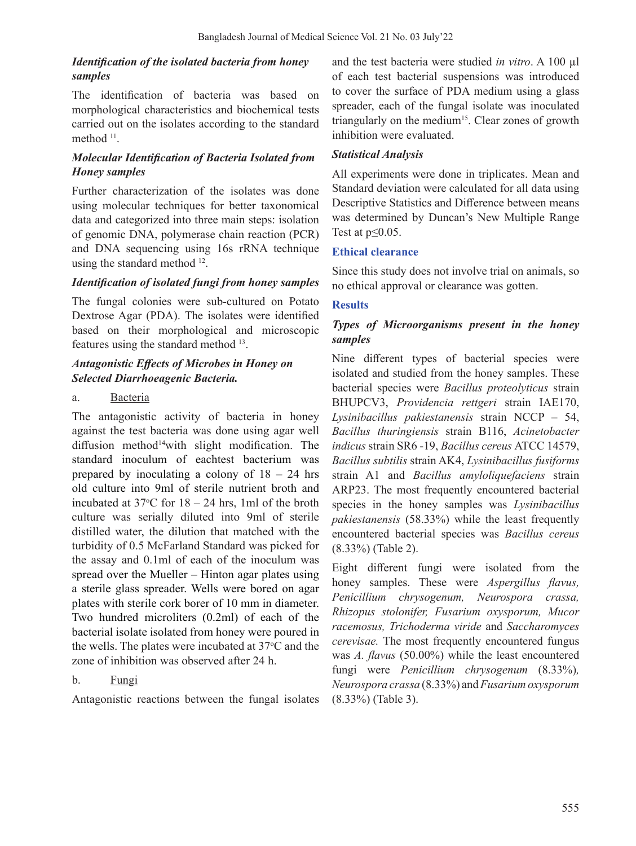# *Identification of the isolated bacteria from honey samples*

The identification of bacteria was based on morphological characteristics and biochemical tests carried out on the isolates according to the standard method <sup>11</sup>.

# *Molecular Identification of Bacteria Isolated from Honey samples*

Further characterization of the isolates was done using molecular techniques for better taxonomical data and categorized into three main steps: isolation of genomic DNA, polymerase chain reaction (PCR) and DNA sequencing using 16s rRNA technique using the standard method 12.

# *Identification of isolated fungi from honey samples*

The fungal colonies were sub-cultured on Potato Dextrose Agar (PDA). The isolates were identified based on their morphological and microscopic features using the standard method <sup>13</sup>.

# *Antagonistic Effects of Microbes in Honey on Selected Diarrhoeagenic Bacteria.*

### a. Bacteria

The antagonistic activity of bacteria in honey against the test bacteria was done using agar well diffusion method<sup>14</sup>with slight modification. The standard inoculum of eachtest bacterium was prepared by inoculating a colony of  $18 - 24$  hrs old culture into 9ml of sterile nutrient broth and incubated at  $37^{\circ}$ C for  $18 - 24$  hrs, 1ml of the broth culture was serially diluted into 9ml of sterile distilled water, the dilution that matched with the turbidity of 0.5 McFarland Standard was picked for the assay and 0.1ml of each of the inoculum was spread over the Mueller – Hinton agar plates using a sterile glass spreader. Wells were bored on agar plates with sterile cork borer of 10 mm in diameter. Two hundred microliters (0.2ml) of each of the bacterial isolate isolated from honey were poured in the wells. The plates were incubated at  $37^{\circ}$ C and the zone of inhibition was observed after 24 h.

# b. Fungi

Antagonistic reactions between the fungal isolates

and the test bacteria were studied *in vitro*. A 100 µl of each test bacterial suspensions was introduced to cover the surface of PDA medium using a glass spreader, each of the fungal isolate was inoculated triangularly on the medium<sup>15</sup>. Clear zones of growth inhibition were evaluated.

# *Statistical Analysis*

All experiments were done in triplicates. Mean and Standard deviation were calculated for all data using Descriptive Statistics and Difference between means was determined by Duncan's New Multiple Range Test at  $p \leq 0.05$ .

### **Ethical clearance**

Since this study does not involve trial on animals, so no ethical approval or clearance was gotten.

# **Results**

# *Types of Microorganisms present in the honey samples*

Nine different types of bacterial species were isolated and studied from the honey samples. These bacterial species were *Bacillus proteolyticus* strain BHUPCV3, *Providencia rettgeri* strain IAE170, *Lysinibacillus pakiestanensis* strain NCCP – 54, *Bacillus thuringiensis* strain B116, *Acinetobacter indicus* strain SR6 -19, *Bacillus cereus* ATCC 14579, *Bacillus subtilis* strain AK4, *Lysinibacillus fusiforms*  strain A1 and *Bacillus amyloliquefaciens* strain ARP23. The most frequently encountered bacterial species in the honey samples was *Lysinibacillus pakiestanensis* (58.33%) while the least frequently encountered bacterial species was *Bacillus cereus*  (8.33%) (Table 2).

Eight different fungi were isolated from the honey samples. These were *Aspergillus flavus, Penicillium chrysogenum, Neurospora crassa, Rhizopus stolonifer, Fusarium oxysporum, Mucor racemosus, Trichoderma viride* and *Saccharomyces cerevisae.* The most frequently encountered fungus was *A. flavus* (50.00%) while the least encountered fungi were *Penicillium chrysogenum* (8.33%)*, Neurospora crassa* (8.33%) and*Fusarium oxysporum* (8.33%) (Table 3).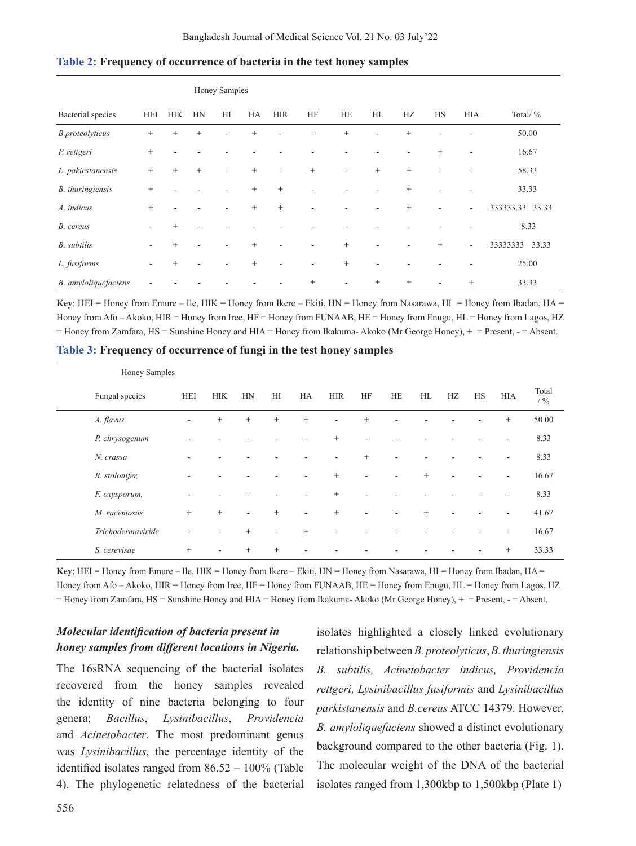|                        |        |            |        | Honey Samples |        |            |        |        |        |                                  |        |                          |                   |
|------------------------|--------|------------|--------|---------------|--------|------------|--------|--------|--------|----------------------------------|--------|--------------------------|-------------------|
| Bacterial species      | HEI    | <b>HIK</b> | HN     | HI            | HA     | <b>HIR</b> | HF     | HE     | HL     | HZ                               | HS     | <b>HIA</b>               | Total/ %          |
| <b>B.proteolyticus</b> | $^{+}$ | $^{+}$     | $^{+}$ |               | $^{+}$ |            |        | $+$    |        | $+$                              |        |                          | 50.00             |
| P. rettgeri            | $+$    |            |        |               |        |            |        |        |        |                                  | $^{+}$ | ٠                        | 16.67             |
| L. pakiestanensis      | $+$    | $^{+}$     | $^{+}$ | ۰             | $^{+}$ | ٠          | $+$    | ٠      | $+$    | $\begin{array}{c} + \end{array}$ | ٠      | ٠                        | 58.33             |
| B. thuringiensis       | $+$    |            |        |               | $^{+}$ | $+$        |        |        |        | $\begin{array}{c} + \end{array}$ | ۰      | ٠                        | 33.33             |
| A. indicus             | $^{+}$ |            |        |               | $^{+}$ | $^{+}$     |        |        |        | $^{+}$                           |        | $\overline{\phantom{a}}$ | 333333.33 33.33   |
| B. cereus              | ۰      | $^{+}$     |        |               |        |            |        |        |        |                                  |        | ٠                        | 8.33              |
| <b>B.</b> subtilis     |        | $^{+}$     |        |               | $^{+}$ |            |        | $^{+}$ |        |                                  | $^{+}$ | $\overline{\phantom{a}}$ | 33333333<br>33.33 |
| L. fusiforms           | ٠      | $^{+}$     |        |               | $^{+}$ |            |        | $^{+}$ |        |                                  |        | ٠                        | 25.00             |
| B. amyloliquefaciens   |        |            |        |               |        |            | $^{+}$ |        | $^{+}$ | $^{+}$                           | ۰      |                          | 33.33             |

#### **Table 2: Frequency of occurrence of bacteria in the test honey samples**

**Key**: HEI = Honey from Emure – Ile, HIK = Honey from Ikere – Ekiti, HN = Honey from Nasarawa, HI = Honey from Ibadan, HA = Honey from Afo – Akoko, HIR = Honey from Iree, HF = Honey from FUNAAB, HE = Honey from Enugu, HL = Honey from Lagos, HZ = Honey from Zamfara, HS = Sunshine Honey and HIA = Honey from Ikakuma- Akoko (Mr George Honey), + = Present, - = Absent.

**Table 3: Frequency of occurrence of fungi in the test honey samples** 

|                | Honey Samples     |            |            |        |        |        |            |        |    |                                  |    |    |                          |                |
|----------------|-------------------|------------|------------|--------|--------|--------|------------|--------|----|----------------------------------|----|----|--------------------------|----------------|
|                | Fungal species    | <b>HEI</b> | <b>HIK</b> | HN     | H      | HA     | <b>HIR</b> | HF     | HE | HL                               | HZ | HS | <b>HIA</b>               | Total<br>$/$ % |
| A. flavus      |                   | ٠          | $^{+}$     | $^{+}$ | $^{+}$ | $+$    | $\sim$     | $^{+}$ |    |                                  |    |    | $^{+}$                   | 50.00          |
|                | P. chrysogenum    |            |            |        |        |        | $^{+}$     | ۰      |    |                                  |    |    | ٠                        | 8.33           |
| N. crassa      |                   |            |            |        |        |        |            | $^{+}$ | ٠  |                                  |    |    | ٠                        | 8.33           |
| R. stolonifer, |                   | ٠          |            |        |        |        | $^{+}$     | ٠      |    | $\begin{array}{c} + \end{array}$ |    |    | $\overline{\phantom{a}}$ | 16.67          |
| F. oxysporum,  |                   |            |            |        |        | ٠      | $^{+}$     | ٠      |    |                                  |    |    | $\overline{\phantom{a}}$ | 8.33           |
| M. racemosus   |                   | $+$        | $^{+}$     | ٠      | $^{+}$ | ٠      | $^{+}$     | ۰      |    | $+$                              |    |    | ÷                        | 41.67          |
|                | Trichodermaviride | ٠          |            | $^{+}$ | $\sim$ | $^{+}$ |            |        |    |                                  |    |    | ٠                        | 16.67          |
| S. cerevisae   |                   | $^{+}$     |            | $^{+}$ | $^{+}$ |        |            |        |    |                                  |    |    | $^{+}$                   | 33.33          |

**Key**: HEI = Honey from Emure – Ile, HIK = Honey from Ikere – Ekiti,  $HN =$  Honey from Nasarawa,  $HI =$  Honey from Ibadan,  $HA =$ Honey from Afo – Akoko, HIR = Honey from Iree, HF = Honey from FUNAAB, HE = Honey from Enugu, HL = Honey from Lagos, HZ = Honey from Zamfara, HS = Sunshine Honey and HIA = Honey from Ikakuma- Akoko (Mr George Honey), + = Present, - = Absent.

# *Molecular identification of bacteria present in honey samples from different locations in Nigeria.*

The 16sRNA sequencing of the bacterial isolates recovered from the honey samples revealed the identity of nine bacteria belonging to four genera; *Bacillus*, *Lysinibacillus*, *Providencia* and *Acinetobacter*. The most predominant genus was *Lysinibacillus*, the percentage identity of the identified isolates ranged from 86.52 – 100% (Table 4). The phylogenetic relatedness of the bacterial

isolates highlighted a closely linked evolutionary relationship between *B. proteolyticus*, *B. thuringiensis B. subtilis, Acinetobacter indicus, Providencia rettgeri, Lysinibacillus fusiformis* and *Lysinibacillus parkistanensis* and *B.cereus* ATCC 14379. However, *B. amyloliquefaciens* showed a distinct evolutionary background compared to the other bacteria (Fig. 1). The molecular weight of the DNA of the bacterial isolates ranged from 1,300kbp to 1,500kbp (Plate 1)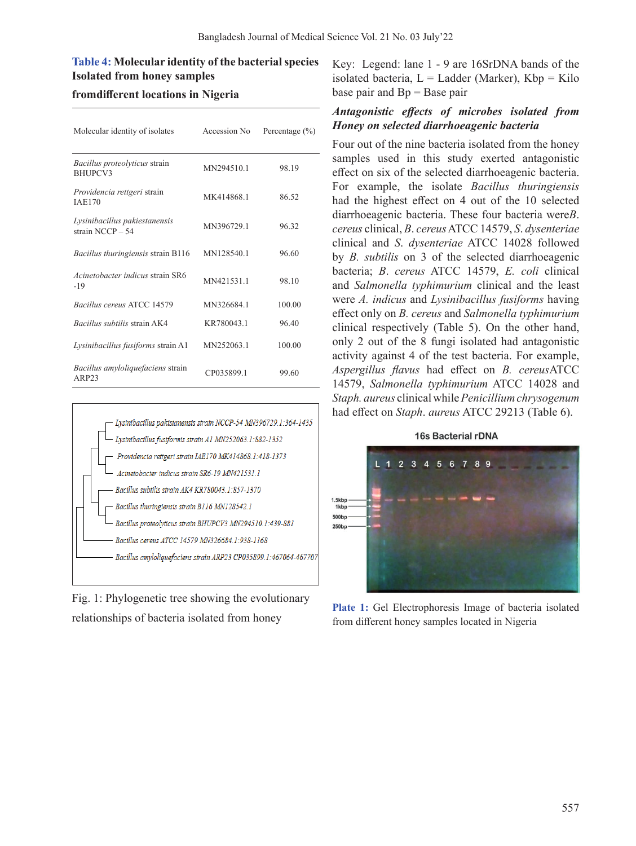# **Table 4: Molecular identity of the bacterial species Isolated from honey samples**

# **fromdifferent locations in Nigeria**

| Molecular identity of isolates                         | Accession No. | Percentage $(\% )$ |
|--------------------------------------------------------|---------------|--------------------|
| Bacillus proteolyticus strain<br><b>BHUPCV3</b>        | MN294510.1    | 98.19              |
| <i>Providencia rettgeri</i> strain<br><b>IAE170</b>    | MK414868.1    | 86.52              |
| Lysinibacillus pakiestanensis<br>strain NCCP - 54      | MN396729.1    | 96.32              |
| Bacillus thuringiensis strain B116                     | MN128540.1    | 96.60              |
| Acinetobacter indicus strain SR6<br>-19                | MN421531.1    | 98.10              |
| Bacillus cereus ATCC 14579                             | MN326684.1    | 100.00             |
| <i>Bacillus subtilis strain AK4</i>                    | KR780043.1    | 96.40              |
| Lysinibacillus fusiforms strain A1                     | MN252063.1    | 100.00             |
| Bacillus amyloliquefaciens strain<br>ARP <sub>23</sub> | CP035899.1    | 99.60              |



Fig. 1: Phylogenetic tree showing the evolutionary relationships of bacteria isolated from honey

Key: Legend: lane 1 - 9 are 16SrDNA bands of the isolated bacteria,  $L =$  Ladder (Marker),  $Kbp =$ Kilo base pair and Bp = Base pair

# *Antagonistic effects of microbes isolated from Honey on selected diarrhoeagenic bacteria*

Four out of the nine bacteria isolated from the honey samples used in this study exerted antagonistic effect on six of the selected diarrhoeagenic bacteria. For example, the isolate *Bacillus thuringiensis*  had the highest effect on 4 out of the 10 selected diarrhoeagenic bacteria. These four bacteria were*B*. *cereus* clinical, *B*. *cereus*ATCC 14579, *S*. *dysenteriae* clinical and *S*. *dysenteriae* ATCC 14028 followed by *B. subtilis* on 3 of the selected diarrhoeagenic bacteria; *B*. *cereus* ATCC 14579, *E. coli* clinical and *Salmonella typhimurium* clinical and the least were *A. indicus* and *Lysinibacillus fusiforms* having effect only on *B. cereus* and *Salmonella typhimurium* clinical respectively (Table 5). On the other hand, only 2 out of the 8 fungi isolated had antagonistic activity against 4 of the test bacteria. For example, *Aspergillus flavus* had effect on *B. cereus*ATCC 14579, *Salmonella typhimurium* ATCC 14028 and *Staph. aureus* clinical while *Penicillium chrysogenum* had effect on *Staph*. *aureus* ATCC 29213 (Table 6).

#### 16s Bacterial rDNA



**Plate 1:** Gel Electrophoresis Image of bacteria isolated from different honey samples located in Nigeria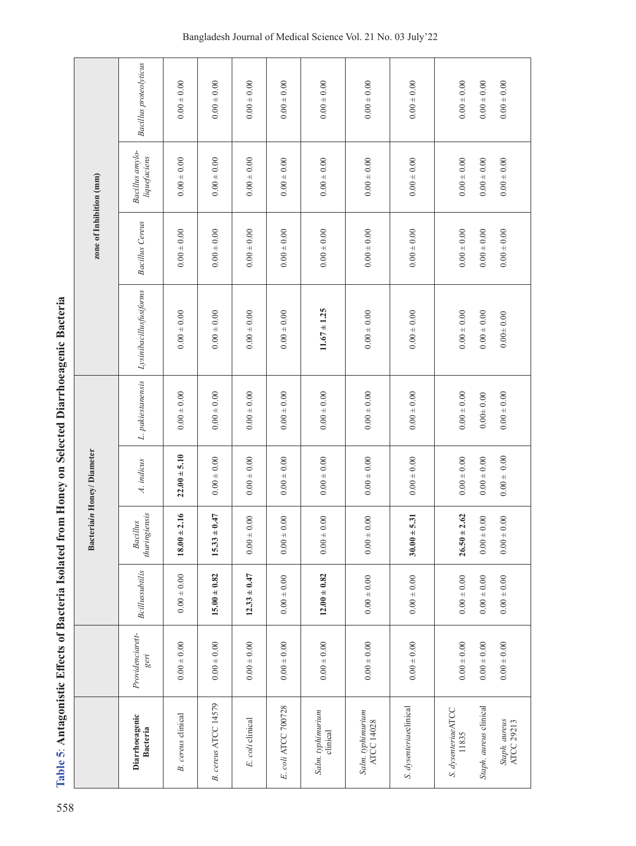| ļ                                                  |
|----------------------------------------------------|
| )                                                  |
|                                                    |
| ļ                                                  |
|                                                    |
|                                                    |
| ļ                                                  |
|                                                    |
|                                                    |
|                                                    |
| ļ<br>Ċ                                             |
| ۶<br>آ                                             |
| ļ<br>֘֒                                            |
| ֖ׅׅׅׅׅ֖֚֚֚֚֚֚֚֚֚֚֚֚֚֚֚֚֚֚֚֡֡֡֡֡֡֡֡֝֬֡֡֝֬<br>₿<br>I |
| i                                                  |
|                                                    |

|                                                                                 |  | Bacteriain Honey/Diameter |                   |                         | zone of Inhibition (mm) |                                 |                               |
|---------------------------------------------------------------------------------|--|---------------------------|-------------------|-------------------------|-------------------------|---------------------------------|-------------------------------|
| thuringiensis<br><b>Bacillus</b><br>Bcillussubtilis<br>Providenciarett-<br>geri |  | A. indicus                | L. pakiestanensis | Lysinibacillusfusiforms | <b>Bacillus Cereus</b>  | Bacillus amylo-<br>liquefaciens | <b>Bacillus</b> proteolyticus |
| $18.00 \pm 2.16$<br>$0.00 \pm 0.00$<br>$0.00 \pm 0.00$                          |  | $22.00 + 5.10$            | $0.00 \pm 0.00$   | $0.00 + 0.00$           | $0.00 \pm 0.00$         | $0.00 \pm 0.00$                 | $0.00 \pm 0.00$               |
| $15.33 \pm 0.47$<br>$15.00 \pm 0.82$<br>$0.00 + 0.00$                           |  | $0.00 \pm 0.00$           | $0.00 \pm 0.00$   | $0.00\pm0.00$           | $0.00 \pm 0.00$         | $0.00 \pm 0.00$                 | $0.00 \pm 0.00$               |
| $0.00 \pm 0.00$<br>$12.33 \pm 0.47$<br>$0.00 \pm 0.00$                          |  | $0.00 \pm 0.00$           | $0.00 \pm 0.00$   | $0.00 \pm 0.00$         | $0.00 \pm 0.00$         | $0.00 \pm 0.00$                 | $0.00 \pm 0.00$               |
| $0.00 \pm 0.00$<br>$0.00 \pm 0.00$<br>$0.00 \pm 0.00$                           |  | $0.00 \pm 0.00$           | $0.00 + 0.00$     | $0.00 \pm 0.00$         | $0.00 \pm 0.00$         | $0.00 \pm 0.00$                 | $0.00 \pm 0.00$               |
| $0.00 \pm 0.00$<br>$12.00 \pm 0.82$<br>$0.00 \pm 0.00$                          |  | $0.00 \pm 0.00$           | $0.00 \pm 0.00$   | $11.67 \pm 1.25$        | $0.00 \pm 0.00$         | $0.00 \pm 0.00$                 | $0.00 \pm 0.00$               |
| $0.00 \pm 0.00$<br>$0.00 \pm 0.00$<br>$0.00 \pm 0.00$                           |  | $0.00 \pm 0.00$           | $0.00 + 0.00$     | $0.00 \pm 0.00$         | $0.00 \pm 0.00$         | $0.00 \pm 0.00$                 | $0.00 \pm 0.00$               |
| $30.00 \pm 5.31$<br>$0.00 \pm 0.00$<br>$0.00 \pm 0.00$                          |  | $0.00\pm0.00$             | $0.00 \pm 0.00$   | $0.00 \pm 0.00$         | $0.00 \pm 0.00$         | $0.00 \pm 0.00$                 | $0.00 \pm 0.00$               |
| $26.50 \pm 2.62$<br>$0.00 \pm 0.00$<br>$0.00 \pm 0.00$                          |  | $0.00 \pm 0.00$           | $0.00 \pm 0.00$   | $0.00\pm0.00$           | $0.00 \pm 0.00$         | $0.00 \pm 0.00$                 | $0.00 \pm 0.00$               |
| $0.00 \pm 0.00$<br>$0.00 \pm 0.00$<br>$0.00 + 0.00$                             |  | $0.00 \pm 0.00$           | $0.00\pm0.00$     | $0.00 + 0.00$           | $0.00 \pm 0.00$         | $0.00 \pm 0.00$                 | $0.00 + 0.00$                 |
| $0.00 \pm 0.00$<br>$0.00 \pm 0.00$<br>$0.00 + 0.00$                             |  | $0.00 + 0.00$             | $0.00 \pm 0.00$   | $0.00 + 0.00$           | $0.00 \pm 0.00$         | $0.00 \pm 0.00$                 | $0.00 \pm 0.00$               |

# Bangladesh Journal of Medical Science Vol. 21 No. 03 July'22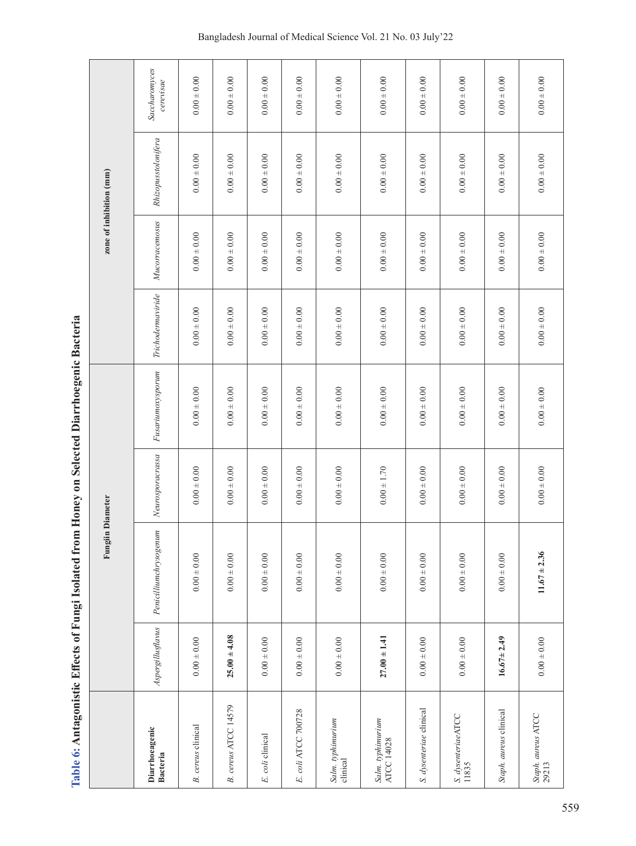Table 6: Antagonistic Effects of Fungi Isolated from Honey on Selected Diarrhoegenic Bacteria **Table 6: Antagonistic Effects of Fungi Isolated from Honey on Selected Diarrhoegenic Bacteria**

|                                   |                   | Fungiin Diameter       |                  |                   |                   |                 | zone of inhibition (mm) |                            |
|-----------------------------------|-------------------|------------------------|------------------|-------------------|-------------------|-----------------|-------------------------|----------------------------|
| Diarrhoeagenic<br><b>Bacteria</b> | Aspergillusflavus | Penicilliumchrysogenum | Neurosporacrassa | Fusariumoxysporum | Trichodermaviride | Mucorracemosus  | Rhizopusstolonifera     | Saccharomyces<br>cerevisae |
| <b>B.</b> cereus clinical         | $0.00 \pm 0.00$   | $0.00 \pm 0.00$        | $0.00 \pm 0.00$  | $0.00 \pm 0.00$   | $0.00 \pm 0.00$   | $0.00 \pm 0.00$ | $0.00 \pm 0.00$         | $0.00 \pm 0.00$            |
| B. cereus ATCC 14579              | $25.00 \pm 4.08$  | $0.00 \pm 0.00$        | $0.00 \pm 0.00$  | $0.00 \pm 0.00$   | $0.00 \pm 0.00$   | $0.00 \pm 0.00$ | $0.00 \pm 0.00$         | $0.00 \pm 0.00$            |
| E. coli clinical                  | $0.00 \pm 0.00$   | $0.00 \pm 0.00$        | $0.00 \pm 0.00$  | $0.00 \pm 0.00$   | $0.00 \pm 0.00$   | $0.00 \pm 0.00$ | $0.00 \pm 0.00$         | $0.00 \pm 0.00$            |
| E. coli ATCC 700728               | $0.00 \pm 0.00$   | $0.00 \pm 0.00$        | $0.00 \pm 0.00$  | $0.00 \pm 0.00$   | $0.00 \pm 0.00$   | $0.00 \pm 0.00$ | $0.00 \pm 0.00$         | $0.00 \pm 0.00$            |
| Salm. typhimurium<br>clinical     | $0.00 \pm 0.00$   | $0.00 \pm 0.00$        | $0.00 \pm 0.00$  | $0.00 \pm 0.00$   | $0.00 \pm 0.00$   | $0.00 \pm 0.00$ | $0.00 \pm 0.00$         | $0.00 \pm 0.00$            |
| Salm. typhimurium<br>ATCC 14028   | $27.00 \pm 1.41$  | $0.00 \pm 0.00$        | $0.00 + 1.70$    | $0.00 \pm 0.00$   | $0.00 \pm 0.00$   | $0.00 \pm 0.00$ | $0.00 \pm 0.00$         | $0.00 \pm 0.00$            |
| S. dysenteriae clinical           | $0.00 \pm 0.00$   | $0.00 \pm 0.00$        | $0.00 + 0.00$    | $0.00 + 0.00$     | $0.00 \pm 0.00$   | $0.00 \pm 0.00$ | $0.00 \pm 0.00$         | $0.00 \pm 0.00$            |
| S. dysenteriaeATCC<br>11835       | $0.00 \pm 0.00$   | $0.00 \pm 0.00$        | $0.00 \pm 0.00$  | $0.00 \pm 0.00$   | $0.00 \pm 0.00$   | $0.00 \pm 0.00$ | $0.00 \pm 0.00$         | $0.00\pm0.00$              |
| Staph. aureus clinical            | $16.67 \pm 2.49$  | $0.00 \pm 0.00$        | $0.00 \pm 0.00$  | $0.00 \pm 0.00$   | $0.00 \pm 0.00$   | $0.00 \pm 0.00$ | $0.00 \pm 0.00$         | $0.00 \pm 0.00$            |
| Staph. aureus ATCC<br>29213       | $0.00 \pm 0.00$   | $11.67 \pm 2.36$       | $0.00 \pm 0.00$  | $0.00 \pm 0.00$   | $0.00 \pm 0.00$   | $0.00 \pm 0.00$ | $0.00 \pm 0.00$         | $0.00 \pm 0.00$            |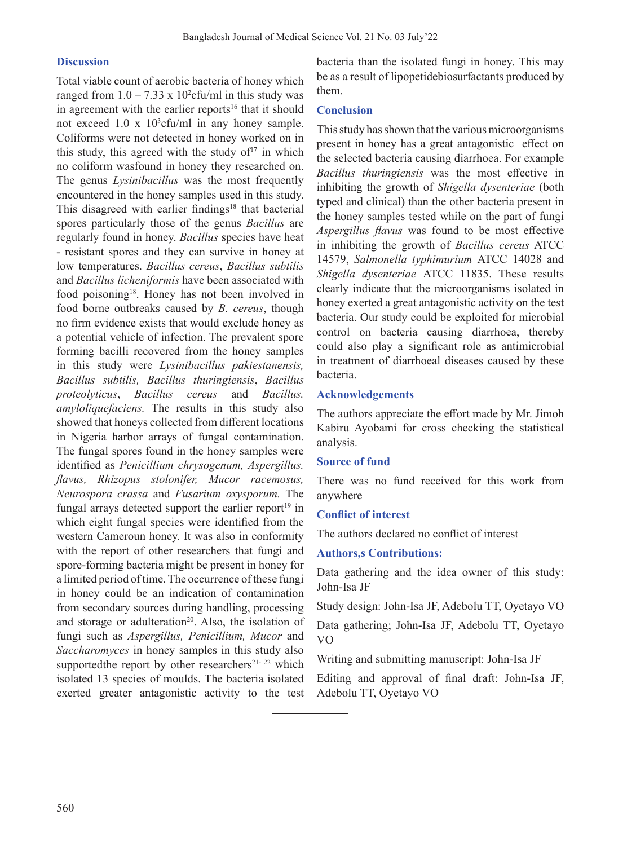### **Discussion**

Total viable count of aerobic bacteria of honey which ranged from  $1.0 - 7.33 \times 10^2$ cfu/ml in this study was in agreement with the earlier reports<sup>16</sup> that it should not exceed  $1.0 \times 10^3$ cfu/ml in any honey sample. Coliforms were not detected in honey worked on in this study, this agreed with the study of $17$  in which no coliform wasfound in honey they researched on. The genus *Lysinibacillus* was the most frequently encountered in the honey samples used in this study. This disagreed with earlier findings<sup>18</sup> that bacterial spores particularly those of the genus *Bacillus* are regularly found in honey. *Bacillus* species have heat - resistant spores and they can survive in honey at low temperatures. *Bacillus cereus*, *Bacillus subtilis* and *Bacillus licheniformis* have been associated with food poisoning<sup>18</sup>. Honey has not been involved in food borne outbreaks caused by *B. cereus*, though no firm evidence exists that would exclude honey as a potential vehicle of infection. The prevalent spore forming bacilli recovered from the honey samples in this study were *Lysinibacillus pakiestanensis, Bacillus subtilis, Bacillus thuringiensis*, *Bacillus proteolyticus*, *Bacillus cereus* and *Bacillus. amyloliquefaciens.* The results in this study also showed that honeys collected from different locations in Nigeria harbor arrays of fungal contamination. The fungal spores found in the honey samples were identified as *Penicillium chrysogenum, Aspergillus. flavus, Rhizopus stolonifer, Mucor racemosus, Neurospora crassa* and *Fusarium oxysporum.* The fungal arrays detected support the earlier report<sup>19</sup> in which eight fungal species were identified from the western Cameroun honey. It was also in conformity with the report of other researchers that fungi and spore-forming bacteria might be present in honey for a limited period of time. The occurrence of these fungi in honey could be an indication of contamination from secondary sources during handling, processing and storage or adulteration<sup>20</sup>. Also, the isolation of fungi such as *Aspergillus, Penicillium, Mucor* and *Saccharomyces* in honey samples in this study also supportedthe report by other researchers<sup>21-22</sup> which isolated 13 species of moulds. The bacteria isolated exerted greater antagonistic activity to the test

bacteria than the isolated fungi in honey. This may be as a result of lipopetidebiosurfactants produced by them.

### **Conclusion**

This study has shown that the various microorganisms present in honey has a great antagonistic effect on the selected bacteria causing diarrhoea. For example *Bacillus thuringiensis* was the most effective in inhibiting the growth of *Shigella dysenteriae* (both typed and clinical) than the other bacteria present in the honey samples tested while on the part of fungi *Aspergillus flavus* was found to be most effective in inhibiting the growth of *Bacillus cereus* ATCC 14579, *Salmonella typhimurium* ATCC 14028 and *Shigella dysenteriae* ATCC 11835. These results clearly indicate that the microorganisms isolated in honey exerted a great antagonistic activity on the test bacteria. Our study could be exploited for microbial control on bacteria causing diarrhoea, thereby could also play a significant role as antimicrobial in treatment of diarrhoeal diseases caused by these bacteria.

### **Acknowledgements**

The authors appreciate the effort made by Mr. Jimoh Kabiru Ayobami for cross checking the statistical analysis.

# **Source of fund**

There was no fund received for this work from anywhere

# **Conflict of interest**

The authors declared no conflict of interest

# **Authors,s Contributions:**

Data gathering and the idea owner of this study: John-Isa JF

Study design: John-Isa JF, Adebolu TT, Oyetayo VO

Data gathering; John-Isa JF, Adebolu TT, Oyetayo VO

Writing and submitting manuscript: John-Isa JF

Editing and approval of final draft: John-Isa JF, Adebolu TT, Oyetayo VO